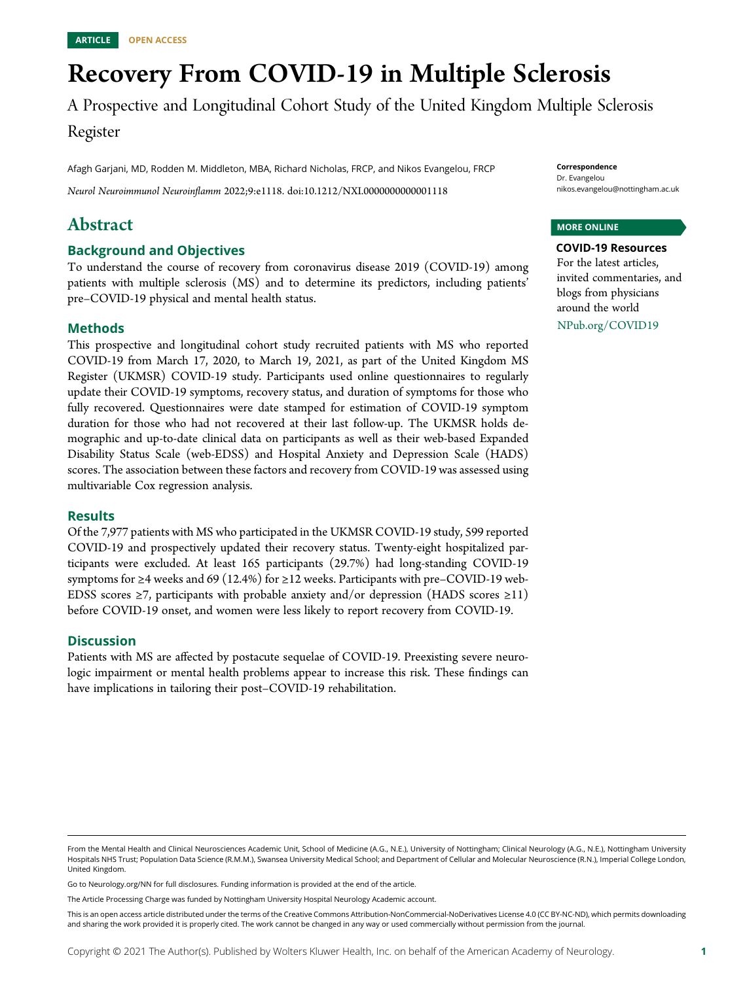# Recovery From COVID-19 in Multiple Sclerosis

A Prospective and Longitudinal Cohort Study of the United Kingdom Multiple Sclerosis

Register

Afagh Garjani, MD, Rodden M. Middleton, MBA, Richard Nicholas, FRCP, and Nikos Evangelou, FRCP

Neurol Neuroimmunol Neuroinflamm 2022;9:e1118. doi[:10.1212/NXI.0000000000001118](http://dx.doi.org/10.1212/NXI.0000000000001118)

# Abstract

### Background and Objectives

To understand the course of recovery from coronavirus disease 2019 (COVID-19) among patients with multiple sclerosis (MS) and to determine its predictors, including patients' pre–COVID-19 physical and mental health status.

### Methods

This prospective and longitudinal cohort study recruited patients with MS who reported COVID-19 from March 17, 2020, to March 19, 2021, as part of the United Kingdom MS Register (UKMSR) COVID-19 study. Participants used online questionnaires to regularly update their COVID-19 symptoms, recovery status, and duration of symptoms for those who fully recovered. Questionnaires were date stamped for estimation of COVID-19 symptom duration for those who had not recovered at their last follow-up. The UKMSR holds demographic and up-to-date clinical data on participants as well as their web-based Expanded Disability Status Scale (web-EDSS) and Hospital Anxiety and Depression Scale (HADS) scores. The association between these factors and recovery from COVID-19 was assessed using multivariable Cox regression analysis.

### Results

Of the 7,977 patients with MS who participated in the UKMSR COVID-19 study, 599 reported COVID-19 and prospectively updated their recovery status. Twenty-eight hospitalized participants were excluded. At least 165 participants (29.7%) had long-standing COVID-19 symptoms for  $\geq$ 4 weeks and 69 (12.4%) for  $\geq$ 12 weeks. Participants with pre–COVID-19 web-EDSS scores ≥7, participants with probable anxiety and/or depression (HADS scores ≥11) before COVID-19 onset, and women were less likely to report recovery from COVID-19.

### **Discussion**

Patients with MS are affected by postacute sequelae of COVID-19. Preexisting severe neurologic impairment or mental health problems appear to increase this risk. These findings can have implications in tailoring their post–COVID-19 rehabilitation.

Correspondence Dr. Evangelou [nikos.evangelou@nottingham.ac.uk](mailto:nikos.evangelou@nottingham.ac.uk)

### MORE ONLINE

COVID-19 Resources For the latest articles, invited commentaries, and blogs from physicians around the world [NPub.org/COVID19](http://NPub.org/COVID19)

From the Mental Health and Clinical Neurosciences Academic Unit, School of Medicine (A.G., N.E.), University of Nottingham; Clinical Neurology (A.G., N.E.), Nottingham University Hospitals NHS Trust; Population Data Science (R.M.M.), Swansea University Medical School; and Department of Cellular and Molecular Neuroscience (R.N.), Imperial College London, United Kingdom.

Go to [Neurology.org/NN](https://nn.neurology.org/content/9/1/e118/tab-article-info) for full disclosures. Funding information is provided at the end of the article.

The Article Processing Charge was funded by Nottingham University Hospital Neurology Academic account.

This is an open access article distributed under the terms of the [Creative Commons Attribution-NonCommercial-NoDerivatives License 4.0 \(CC BY-NC-ND\),](http://creativecommons.org/licenses/by-nc-nd/4.0/) which permits downloading and sharing the work provided it is properly cited. The work cannot be changed in any way or used commercially without permission from the journal.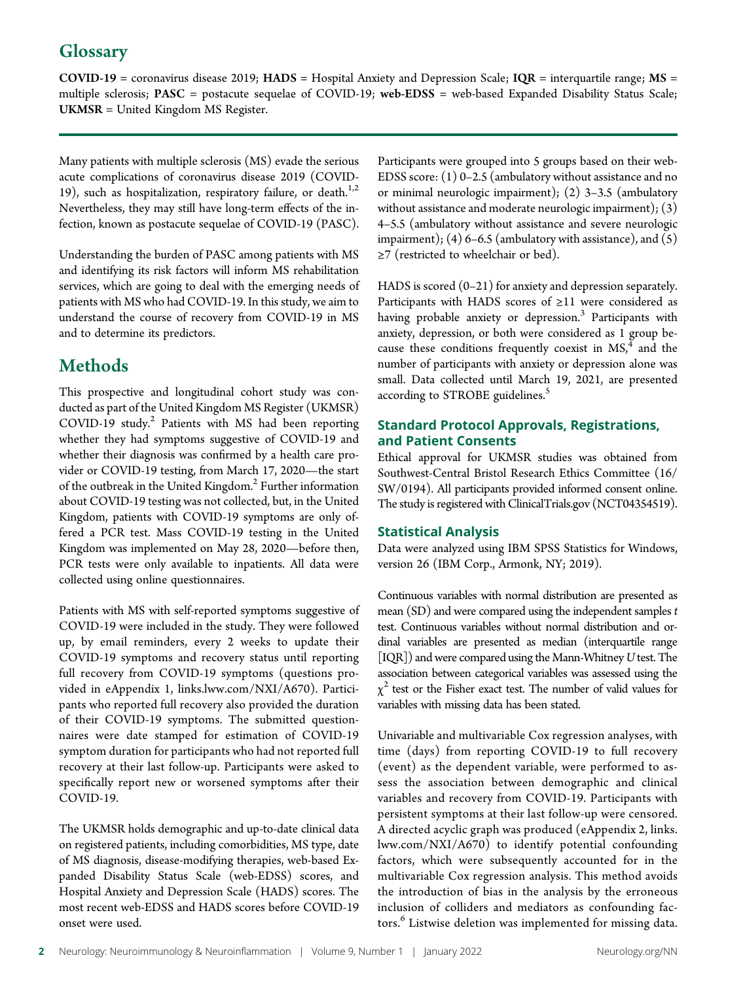# **Glossary**

COVID-19 = coronavirus disease 2019; HADS = Hospital Anxiety and Depression Scale; IQR = interquartile range;  $MS =$ multiple sclerosis; PASC = postacute sequelae of COVID-19; web-EDSS = web-based Expanded Disability Status Scale; UKMSR = United Kingdom MS Register.

Many patients with multiple sclerosis (MS) evade the serious acute complications of coronavirus disease 2019 (COVID-19), such as hospitalization, respiratory failure, or death.<sup>1,2</sup> Nevertheless, they may still have long-term effects of the infection, known as postacute sequelae of COVID-19 (PASC).

Understanding the burden of PASC among patients with MS and identifying its risk factors will inform MS rehabilitation services, which are going to deal with the emerging needs of patients with MS who had COVID-19. In this study, we aim to understand the course of recovery from COVID-19 in MS and to determine its predictors.

# **Methods**

This prospective and longitudinal cohort study was conducted as part of the United Kingdom MS Register (UKMSR) COVID-19 study. $2$  Patients with MS had been reporting whether they had symptoms suggestive of COVID-19 and whether their diagnosis was confirmed by a health care provider or COVID-19 testing, from March 17, 2020—the start of the outbreak in the United Kingdom.<sup>2</sup> Further information about COVID-19 testing was not collected, but, in the United Kingdom, patients with COVID-19 symptoms are only offered a PCR test. Mass COVID-19 testing in the United Kingdom was implemented on May 28, 2020—before then, PCR tests were only available to inpatients. All data were collected using online questionnaires.

Patients with MS with self-reported symptoms suggestive of COVID-19 were included in the study. They were followed up, by email reminders, every 2 weeks to update their COVID-19 symptoms and recovery status until reporting full recovery from COVID-19 symptoms (questions provided in eAppendix 1, [links.lww.com/NXI/A670](http://links.lww.com/NXI/A670)). Participants who reported full recovery also provided the duration of their COVID-19 symptoms. The submitted questionnaires were date stamped for estimation of COVID-19 symptom duration for participants who had not reported full recovery at their last follow-up. Participants were asked to specifically report new or worsened symptoms after their COVID-19.

The UKMSR holds demographic and up-to-date clinical data on registered patients, including comorbidities, MS type, date of MS diagnosis, disease-modifying therapies, web-based Expanded Disability Status Scale (web-EDSS) scores, and Hospital Anxiety and Depression Scale (HADS) scores. The most recent web-EDSS and HADS scores before COVID-19 onset were used.

Participants were grouped into 5 groups based on their web-EDSS score: (1) 0–2.5 (ambulatory without assistance and no or minimal neurologic impairment); (2) 3–3.5 (ambulatory without assistance and moderate neurologic impairment); (3) 4–5.5 (ambulatory without assistance and severe neurologic impairment);  $(4)$  6–6.5 (ambulatory with assistance), and  $(5)$ ≥7 (restricted to wheelchair or bed).

HADS is scored (0–21) for anxiety and depression separately. Participants with HADS scores of ≥11 were considered as having probable anxiety or depression.<sup>3</sup> Participants with anxiety, depression, or both were considered as 1 group because these conditions frequently coexist in  $MS<sub>i</sub><sup>4</sup>$  and the number of participants with anxiety or depression alone was small. Data collected until March 19, 2021, are presented according to STROBE guidelines.<sup>5</sup>

### Standard Protocol Approvals, Registrations, and Patient Consents

Ethical approval for UKMSR studies was obtained from Southwest-Central Bristol Research Ethics Committee (16/ SW/0194). All participants provided informed consent online. The study is registered with [ClinicalTrials.gov](http://ClinicalTrials.gov) (NCT04354519).

### Statistical Analysis

Data were analyzed using IBM SPSS Statistics for Windows, version 26 (IBM Corp., Armonk, NY; 2019).

Continuous variables with normal distribution are presented as mean  $(SD)$  and were compared using the independent samples  $t$ test. Continuous variables without normal distribution and ordinal variables are presented as median (interquartile range [IQR]) and were compared using the Mann-Whitney U test. The association between categorical variables was assessed using the  $\chi^2$  test or the Fisher exact test. The number of valid values for variables with missing data has been stated.

Univariable and multivariable Cox regression analyses, with time (days) from reporting COVID-19 to full recovery (event) as the dependent variable, were performed to assess the association between demographic and clinical variables and recovery from COVID-19. Participants with persistent symptoms at their last follow-up were censored. A directed acyclic graph was produced (eAppendix 2, [links.](http://links.lww.com/NXI/A670) [lww.com/NXI/A670\)](http://links.lww.com/NXI/A670) to identify potential confounding factors, which were subsequently accounted for in the multivariable Cox regression analysis. This method avoids the introduction of bias in the analysis by the erroneous inclusion of colliders and mediators as confounding factors.<sup>6</sup> Listwise deletion was implemented for missing data.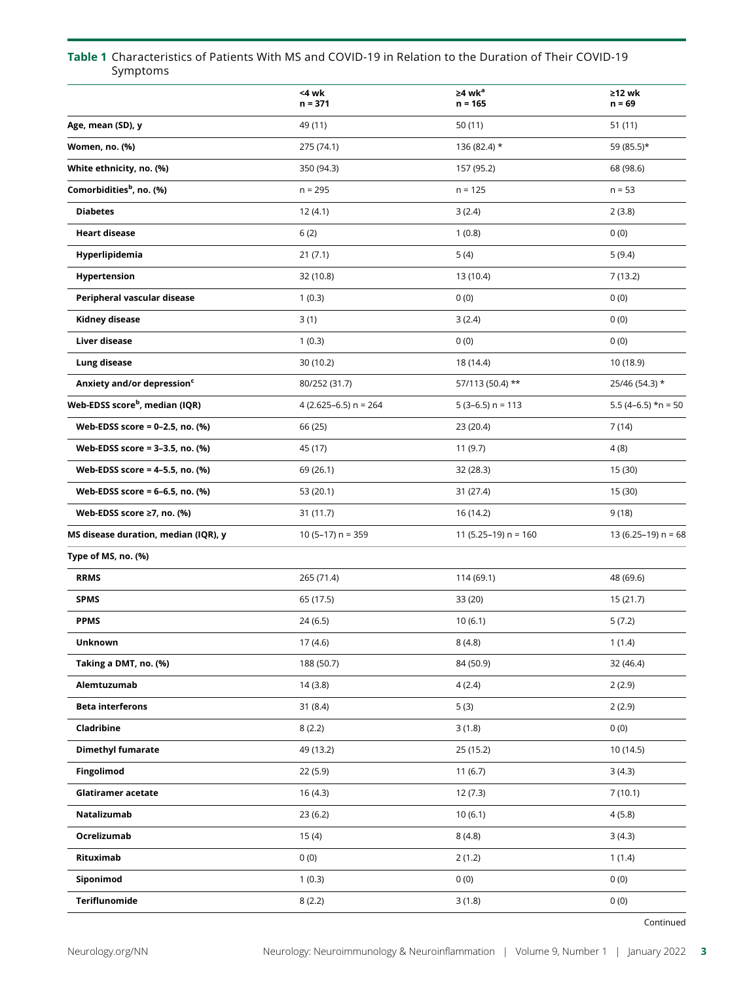### Table 1 Characteristics of Patients With MS and COVID-19 in Relation to the Duration of Their COVID-19 Symptoms

|                                            | <4 wk<br>$n = 371$     | $\geq$ 4 wk <sup>a</sup><br>$n = 165$ | $≥12$ wk<br>n = 69    |
|--------------------------------------------|------------------------|---------------------------------------|-----------------------|
| Age, mean (SD), y                          | 49 (11)                | 50(11)                                | 51 (11)               |
| Women, no. (%)                             | 275 (74.1)             | 136 (82.4) *                          | 59 (85.5)*            |
| White ethnicity, no. (%)                   | 350 (94.3)             | 157 (95.2)                            | 68 (98.6)             |
| Comorbidities <sup>b</sup> , no. (%)       | $n = 295$              | $n = 125$                             | $n = 53$              |
| <b>Diabetes</b>                            | 12(4.1)                | 3(2.4)                                | 2(3.8)                |
| <b>Heart disease</b>                       | 6(2)                   | 1(0.8)                                | 0(0)                  |
| Hyperlipidemia                             | 21(7.1)                | 5(4)                                  | 5(9.4)                |
| <b>Hypertension</b>                        | 32 (10.8)              | 13 (10.4)                             | 7(13.2)               |
| Peripheral vascular disease                | 1(0.3)                 | 0(0)                                  | 0(0)                  |
| Kidney disease                             | 3(1)                   | 3(2.4)                                | 0(0)                  |
| <b>Liver disease</b>                       | 1(0.3)                 | 0(0)                                  | 0(0)                  |
| Lung disease                               | 30 (10.2)              | 18 (14.4)                             | 10 (18.9)             |
| Anxiety and/or depression <sup>c</sup>     | 80/252 (31.7)          | 57/113 (50.4) **                      | 25/46 (54.3) *        |
| Web-EDSS score <sup>b</sup> , median (IQR) | $4(2.625-6.5)$ n = 264 | $5(3-6.5)$ n = 113                    | $5.5(4-6.5)$ *n = 50  |
| Web-EDSS score = 0-2.5, no. (%)            | 66 (25)                | 23 (20.4)                             | 7(14)                 |
| Web-EDSS score = 3-3.5, no. (%)            | 45 (17)                | 11(9.7)                               | 4(8)                  |
| Web-EDSS score = 4-5.5, no. (%)            | 69 (26.1)              | 32 (28.3)                             | 15 (30)               |
| Web-EDSS score = 6-6.5, no. (%)            | 53 (20.1)              | 31 (27.4)                             | 15 (30)               |
| Web-EDSS score ≥7, no. (%)                 | 31 (11.7)              | 16 (14.2)                             | 9(18)                 |
| MS disease duration, median (IQR), y       | 10 (5–17) $n = 359$    | 11 (5.25–19) $n = 160$                | 13 (6.25-19) $n = 68$ |
| Type of MS, no. (%)                        |                        |                                       |                       |
| <b>RRMS</b>                                | 265 (71.4)             | 114 (69.1)                            | 48 (69.6)             |
| <b>SPMS</b>                                | 65 (17.5)              | 33 (20)                               | 15 (21.7)             |
| <b>PPMS</b>                                | 24 (6.5)               | 10(6.1)                               | 5(7.2)                |
| Unknown                                    | 17 (4.6)               | 8(4.8)                                | 1(1.4)                |
| Taking a DMT, no. (%)                      | 188 (50.7)             | 84 (50.9)                             | 32 (46.4)             |
| Alemtuzumab                                | 14(3.8)                | 4(2.4)                                | 2(2.9)                |
| <b>Beta interferons</b>                    | 31(8.4)                | 5(3)                                  | 2(2.9)                |
| Cladribine                                 | 8(2.2)                 | 3(1.8)                                | 0(0)                  |
| <b>Dimethyl fumarate</b>                   | 49 (13.2)              | 25 (15.2)                             | 10 (14.5)             |
| Fingolimod                                 | 22 (5.9)               | 11(6.7)                               | 3(4.3)                |
| <b>Glatiramer acetate</b>                  | 16 (4.3)               | 12(7.3)                               | 7(10.1)               |
| Natalizumab                                | 23(6.2)                | 10(6.1)                               | 4(5.8)                |
| Ocrelizumab                                | 15(4)                  | 8(4.8)                                | 3(4.3)                |
| Rituximab                                  | 0(0)<br>2(1.2)         |                                       | 1(1.4)                |
| Siponimod                                  | 1(0.3)                 | 0(0)                                  | 0(0)                  |
| Teriflunomide                              | 8(2.2)                 | 3(1.8)                                | 0(0)                  |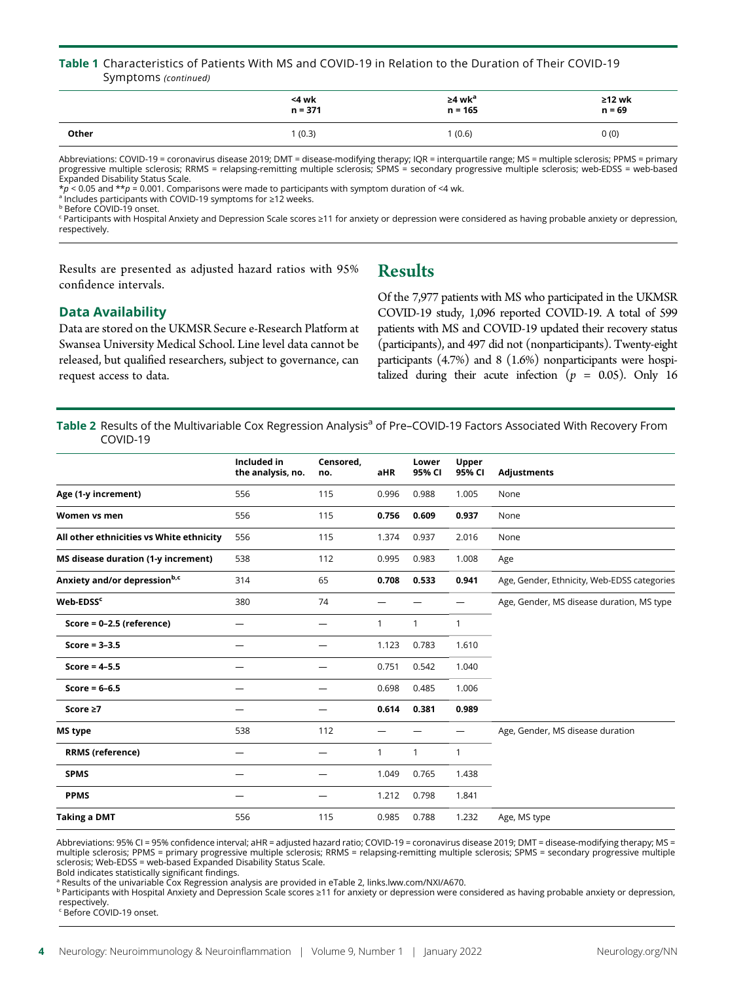### Table 1 Characteristics of Patients With MS and COVID-19 in Relation to the Duration of Their COVID-19 Symptoms (continued)

|       | <4 wk<br>n = 371 | ≥4 wk <sup>a</sup><br>$n = 165$ | $\geq$ 12 wk<br>$n = 69$ |
|-------|------------------|---------------------------------|--------------------------|
| Other | (0.3)            | 1(0.6)                          | 0(0)                     |

Abbreviations: COVID-19 = coronavirus disease 2019; DMT = disease-modifying therapy; IQR = interquartile range; MS = multiple sclerosis; PPMS = primary progressive multiple sclerosis; RRMS = relapsing-remitting multiple sclerosis; SPMS = secondary progressive multiple sclerosis; web-EDSS = web-based Expanded Disability Status Scale.

 $\star$ p < 0.05 and  $\star\star$ p = 0.001. Comparisons were made to participants with symptom duration of <4 wk.

<sup>a</sup> Includes participants with COVID-19 symptoms for ≥12 weeks.

<sup>b</sup> Before COVID-19 onset.

<sup>c</sup> Participants with Hospital Anxiety and Depression Scale scores ≥11 for anxiety or depression were considered as having probable anxiety or depression, respectively.

Results are presented as adjusted hazard ratios with 95% confidence intervals.

### Data Availability

Data are stored on the UKMSR Secure e-Research Platform at Swansea University Medical School. Line level data cannot be released, but qualified researchers, subject to governance, can request access to data.

## **Results**

Of the 7,977 patients with MS who participated in the UKMSR COVID-19 study, 1,096 reported COVID-19. A total of 599 patients with MS and COVID-19 updated their recovery status (participants), and 497 did not (nonparticipants). Twenty-eight participants (4.7%) and 8 (1.6%) nonparticipants were hospitalized during their acute infection ( $p = 0.05$ ). Only 16

Table 2 Results of the Multivariable Cox Regression Analysis<sup>a</sup> of Pre–COVID-19 Factors Associated With Recovery From COVID-19

|                                          | Included in<br>the analysis, no. | Censored.<br>no. | aHR          | Lower<br>95% CI | Upper<br>95% CI | Adjustments                                 |
|------------------------------------------|----------------------------------|------------------|--------------|-----------------|-----------------|---------------------------------------------|
| Age (1-y increment)                      | 556                              | 115              | 0.996        | 0.988           | 1.005           | None                                        |
| Women vs men                             | 556                              | 115              | 0.756        | 0.609           | 0.937           | None                                        |
| All other ethnicities vs White ethnicity | 556                              | 115              | 1.374        | 0.937           | 2.016           | None                                        |
| MS disease duration (1-y increment)      | 538                              | 112              | 0.995        | 0.983           | 1.008           | Age                                         |
| Anxiety and/or depressionb,c             | 314                              | 65               | 0.708        | 0.533           | 0.941           | Age, Gender, Ethnicity, Web-EDSS categories |
| Web-EDSS <sup>c</sup>                    | 380                              | 74               |              |                 |                 | Age, Gender, MS disease duration, MS type   |
| $Score = 0-2.5$ (reference)              | --                               | —                | $\mathbf{1}$ | $\mathbf{1}$    | 1               |                                             |
| Score = $3-3.5$                          |                                  |                  | 1.123        | 0.783           | 1.610           |                                             |
| Score = $4-5.5$                          |                                  |                  | 0.751        | 0.542           | 1.040           |                                             |
| Score = $6-6.5$                          |                                  |                  | 0.698        | 0.485           | 1.006           |                                             |
| Score ≥7                                 |                                  |                  | 0.614        | 0.381           | 0.989           |                                             |
| MS type                                  | 538                              | 112              |              |                 |                 | Age, Gender, MS disease duration            |
| <b>RRMS</b> (reference)                  | -                                | –                | $\mathbf{1}$ | 1               | $\mathbf{1}$    |                                             |
| <b>SPMS</b>                              |                                  |                  | 1.049        | 0.765           | 1.438           |                                             |
| <b>PPMS</b>                              |                                  |                  | 1.212        | 0.798           | 1.841           |                                             |
| <b>Taking a DMT</b>                      | 556                              | 115              | 0.985        | 0.788           | 1.232           | Age, MS type                                |

Abbreviations: 95% CI = 95% confidence interval; aHR = adjusted hazard ratio; COVID-19 = coronavirus disease 2019; DMT = disease-modifying therapy; MS = multiple sclerosis; PPMS = primary progressive multiple sclerosis; RRMS = relapsing-remitting multiple sclerosis; SPMS = secondary progressive multiple sclerosis; Web-EDSS = web-based Expanded Disability Status Scale.

Bold indicates statistically significant findings.

 $^{\circ}$  Results of the univariable Cox Regression analysis are provided in eTable 2, [links.lww.com/NXI/A670.](http://links.lww.com/NXI/A670)

<sup>b</sup> Participants with Hospital Anxiety and Depression Scale scores ≥11 for anxiety or depression were considered as having probable anxiety or depression, respectively.

<sup>c</sup> Before COVID-19 onset.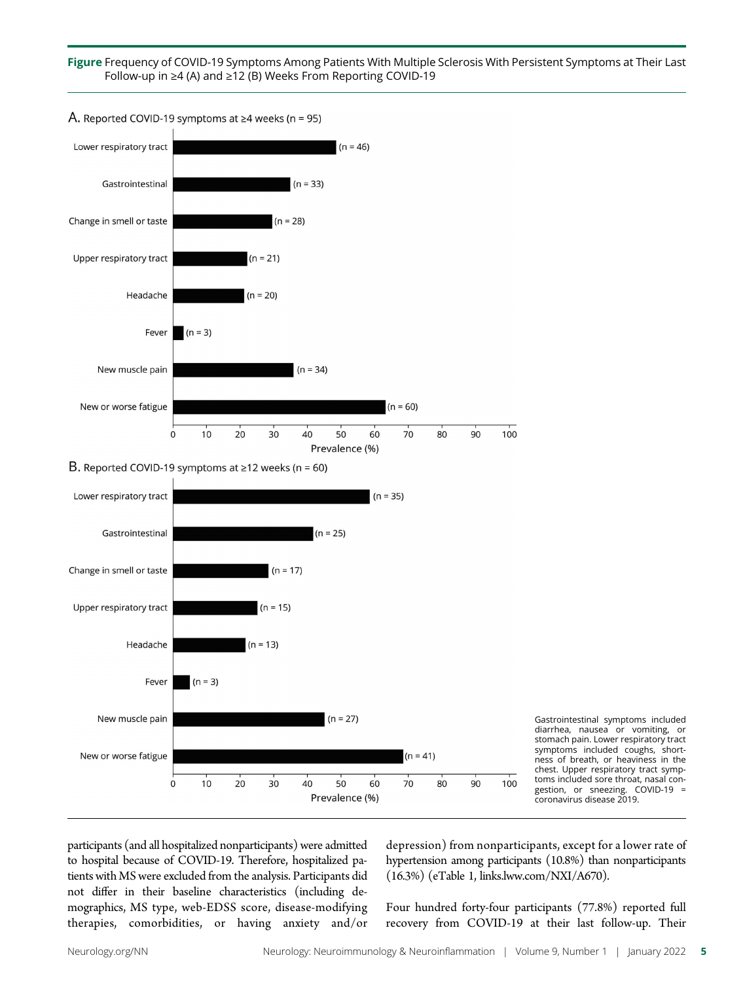Figure Frequency of COVID-19 Symptoms Among Patients With Multiple Sclerosis With Persistent Symptoms at Their Last Follow-up in ≥4 (A) and ≥12 (B) Weeks From Reporting COVID-19



A. Reported COVID-19 symptoms at  $\geq 4$  weeks (n = 95)

B. Reported COVID-19 symptoms at  $\geq$ 12 weeks (n = 60)



Gastrointestinal symptoms included diarrhea, nausea or vomiting, or stomach pain. Lower respiratory tract symptoms included coughs, shortness of breath, or heaviness in the chest. Upper respiratory tract symptoms included sore throat, nasal congestion, or sneezing. COVID-19 = coronavirus disease 2019.

participants (and all hospitalized nonparticipants) were admitted to hospital because of COVID-19. Therefore, hospitalized patients with MS were excluded from the analysis. Participants did not differ in their baseline characteristics (including demographics, MS type, web-EDSS score, disease-modifying therapies, comorbidities, or having anxiety and/or

depression) from nonparticipants, except for a lower rate of hypertension among participants (10.8%) than nonparticipants (16.3%) (eTable 1, [links.lww.com/NXI/A670](http://links.lww.com/NXI/A670)).

Four hundred forty-four participants (77.8%) reported full recovery from COVID-19 at their last follow-up. Their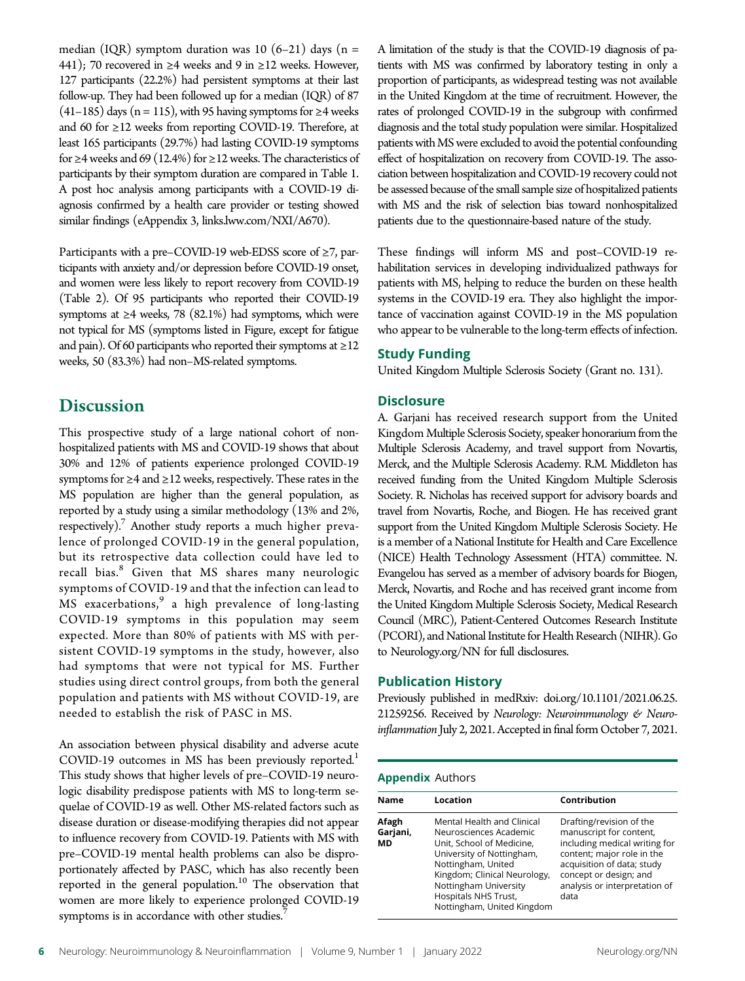An association between physical disability and adverse acute COVID-19 outcomes in MS has been previously reported.<sup>1</sup> This study shows that higher levels of pre–COVID-19 neurologic disability predispose patients with MS to long-term sequelae of COVID-19 as well. Other MS-related factors such as

needed to establish the risk of PASC in MS.

median (IQR) symptom duration was 10 (6-21) days ( $n =$ 441); 70 recovered in ≥4 weeks and 9 in ≥12 weeks. However, 127 participants (22.2%) had persistent symptoms at their last follow-up. They had been followed up for a median (IQR) of 87  $(41–185)$  days (n = 115), with 95 having symptoms for  $\geq$ 4 weeks and 60 for ≥12 weeks from reporting COVID-19. Therefore, at least 165 participants (29.7%) had lasting COVID-19 symptoms for ≥4 weeks and 69 (12.4%) for ≥12 weeks. The characteristics of participants by their symptom duration are compared in Table 1. A post hoc analysis among participants with a COVID-19 diagnosis confirmed by a health care provider or testing showed similar findings (eAppendix 3, [links.lww.com/NXI/A670](http://links.lww.com/NXI/A670)).

Participants with a pre–COVID-19 web-EDSS score of ≥7, participants with anxiety and/or depression before COVID-19 onset, and women were less likely to report recovery from COVID-19 (Table 2). Of 95 participants who reported their COVID-19 symptoms at  $\geq$ 4 weeks, 78 (82.1%) had symptoms, which were not typical for MS (symptoms listed in Figure, except for fatigue and pain). Of 60 participants who reported their symptoms at  $\geq$ 12

This prospective study of a large national cohort of nonhospitalized patients with MS and COVID-19 shows that about 30% and 12% of patients experience prolonged COVID-19 symptoms for ≥4 and ≥12 weeks, respectively. These rates in the MS population are higher than the general population, as reported by a study using a similar methodology (13% and 2%, respectively).<sup>7</sup> Another study reports a much higher prevalence of prolonged COVID-19 in the general population, but its retrospective data collection could have led to recall bias.<sup>8</sup> Given that MS shares many neurologic symptoms of COVID-19 and that the infection can lead to MS exacerbations,  $9$  a high prevalence of long-lasting COVID-19 symptoms in this population may seem expected. More than 80% of patients with MS with persistent COVID-19 symptoms in the study, however, also had symptoms that were not typical for MS. Further studies using direct control groups, from both the general population and patients with MS without COVID-19, are

weeks, 50 (83.3%) had non–MS-related symptoms.

**Discussion** 

disease duration or disease-modifying therapies did not appear to influence recovery from COVID-19. Patients with MS with pre–COVID-19 mental health problems can also be disproportionately affected by PASC, which has also recently been reported in the general population.<sup>10</sup> The observation that women are more likely to experience prolonged COVID-19 symptoms is in accordance with other studies.<sup>7</sup>

A limitation of the study is that the COVID-19 diagnosis of patients with MS was confirmed by laboratory testing in only a proportion of participants, as widespread testing was not available in the United Kingdom at the time of recruitment. However, the rates of prolonged COVID-19 in the subgroup with confirmed diagnosis and the total study population were similar. Hospitalized patients with MS were excluded to avoid the potential confounding effect of hospitalization on recovery from COVID-19. The association between hospitalization and COVID-19 recovery could not be assessed because of the small sample size of hospitalized patients with MS and the risk of selection bias toward nonhospitalized patients due to the questionnaire-based nature of the study.

These findings will inform MS and post–COVID-19 rehabilitation services in developing individualized pathways for patients with MS, helping to reduce the burden on these health systems in the COVID-19 era. They also highlight the importance of vaccination against COVID-19 in the MS population who appear to be vulnerable to the long-term effects of infection.

### Study Funding

United Kingdom Multiple Sclerosis Society (Grant no. 131).

### **Disclosure**

A. Garjani has received research support from the United Kingdom Multiple Sclerosis Society, speaker honorarium from the Multiple Sclerosis Academy, and travel support from Novartis, Merck, and the Multiple Sclerosis Academy. R.M. Middleton has received funding from the United Kingdom Multiple Sclerosis Society. R. Nicholas has received support for advisory boards and travel from Novartis, Roche, and Biogen. He has received grant support from the United Kingdom Multiple Sclerosis Society. He is a member of a National Institute for Health and Care Excellence (NICE) Health Technology Assessment (HTA) committee. N. Evangelou has served as a member of advisory boards for Biogen, Merck, Novartis, and Roche and has received grant income from the United Kingdom Multiple Sclerosis Society, Medical Research Council (MRC), Patient-Centered Outcomes Research Institute (PCORI), and National Institute for Health Research (NIHR). Go to [Neurology.org/NN](https://nn.neurology.org/content/9/1/e118/tab-article-info) for full disclosures.

### Publication History

Previously published in medRxiv: [doi.org/10.1101/2021.06.25.](https://doi.org/10.1101/2021.06.25.21259256) [21259256](https://doi.org/10.1101/2021.06.25.21259256). Received by Neurology: Neuroimmunology & Neuroinflammation July 2, 2021. Accepted in final form October 7, 2021.

### Appendix Authors

| Name<br>Contribution<br>Location                                                                                                                                                                                                                                                                                                                                                                                                                                                                      |  |
|-------------------------------------------------------------------------------------------------------------------------------------------------------------------------------------------------------------------------------------------------------------------------------------------------------------------------------------------------------------------------------------------------------------------------------------------------------------------------------------------------------|--|
|                                                                                                                                                                                                                                                                                                                                                                                                                                                                                                       |  |
| Afagh<br>Drafting/revision of the<br>Mental Health and Clinical<br>manuscript for content,<br>Garjani,<br>Neurosciences Academic<br>including medical writing for<br>MD<br>Unit, School of Medicine,<br>content; major role in the<br>University of Nottingham,<br>Nottingham, United<br>acquisition of data; study<br>concept or design; and<br>Kingdom; Clinical Neurology,<br>analysis or interpretation of<br>Nottingham University<br>Hospitals NHS Trust,<br>data<br>Nottingham, United Kingdom |  |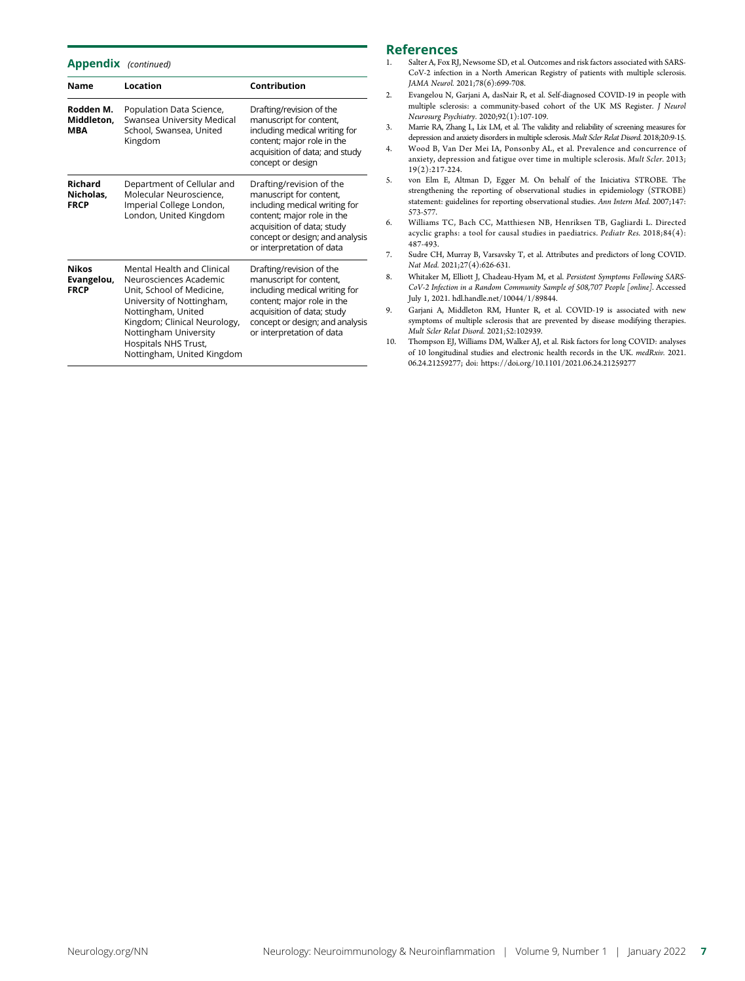Appendix (continued)

| <b>Name</b>                               | Location                                                                                                                                                                                                                                            | Contribution                                                                                                                                                                                                     |
|-------------------------------------------|-----------------------------------------------------------------------------------------------------------------------------------------------------------------------------------------------------------------------------------------------------|------------------------------------------------------------------------------------------------------------------------------------------------------------------------------------------------------------------|
| Rodden M.<br>Middleton,<br><b>MBA</b>     | Population Data Science,<br>Swansea University Medical<br>School, Swansea, United<br>Kingdom                                                                                                                                                        | Drafting/revision of the<br>manuscript for content,<br>including medical writing for<br>content; major role in the<br>acquisition of data; and study<br>concept or design                                        |
| Richard<br>Nicholas,<br><b>FRCP</b>       | Department of Cellular and<br>Molecular Neuroscience,<br>Imperial College London,<br>London, United Kingdom                                                                                                                                         | Drafting/revision of the<br>manuscript for content,<br>including medical writing for<br>content; major role in the<br>acquisition of data; study<br>concept or design; and analysis<br>or interpretation of data |
| <b>Nikos</b><br>Evangelou,<br><b>FRCP</b> | Mental Health and Clinical<br>Neurosciences Academic<br>Unit, School of Medicine,<br>University of Nottingham,<br>Nottingham, United<br>Kingdom; Clinical Neurology,<br>Nottingham University<br>Hospitals NHS Trust,<br>Nottingham, United Kingdom | Drafting/revision of the<br>manuscript for content,<br>including medical writing for<br>content; major role in the<br>acquisition of data; study<br>concept or design; and analysis<br>or interpretation of data |

# References<br>1. Salter A. Fox RI

- Salter A, Fox RJ, Newsome SD, et al. Outcomes and risk factors associated with SARS-CoV-2 infection in a North American Registry of patients with multiple sclerosis. JAMA Neurol. 2021;78(6):699-708.
- 2. Evangelou N, Garjani A, dasNair R, et al. Self-diagnosed COVID-19 in people with multiple sclerosis: a community-based cohort of the UK MS Register. J Neurol Neurosurg Psychiatry. 2020;92(1):107-109.
- 3. Marrie RA, Zhang L, Lix LM, et al. The validity and reliability of screening measures for depression and anxiety disorders in multiple sclerosis. Mult Scler Relat Disord. 2018;20:9-15.
- 4. Wood B, Van Der Mei IA, Ponsonby AL, et al. Prevalence and concurrence of anxiety, depression and fatigue over time in multiple sclerosis. Mult Scler. 2013; 19(2):217-224.
- 5. von Elm E, Altman D, Egger M. On behalf of the Iniciativa STROBE. The strengthening the reporting of observational studies in epidemiology (STROBE) statement: guidelines for reporting observational studies. Ann Intern Med. 2007;147: 573-577.
- 6. Williams TC, Bach CC, Matthiesen NB, Henriksen TB, Gagliardi L. Directed acyclic graphs: a tool for causal studies in paediatrics. Pediatr Res. 2018;84(4): 487-493.
- 7. Sudre CH, Murray B, Varsavsky T, et al. Attributes and predictors of long COVID. Nat Med. 2021;27(4):626-631.
- 8. Whitaker M, Elliott J, Chadeau-Hyam M, et al. Persistent Symptoms Following SARS-CoV-2 Infection in a Random Community Sample of 508,707 People [online]. Accessed July 1, 2021. [hdl.handle.net/10044/1/89844](http://hdl.handle.net/10044/1/89844).
- 9. Garjani A, Middleton RM, Hunter R, et al. COVID-19 is associated with new symptoms of multiple sclerosis that are prevented by disease modifying therapies. Mult Scler Relat Disord. 2021;52:102939.
- 10. Thompson EJ, Williams DM, Walker AJ, et al. Risk factors for long COVID: analyses of 10 longitudinal studies and electronic health records in the UK. medRxiv. 2021. 06.24.21259277; doi:<https://doi.org/10.1101/2021.06.24.21259277>